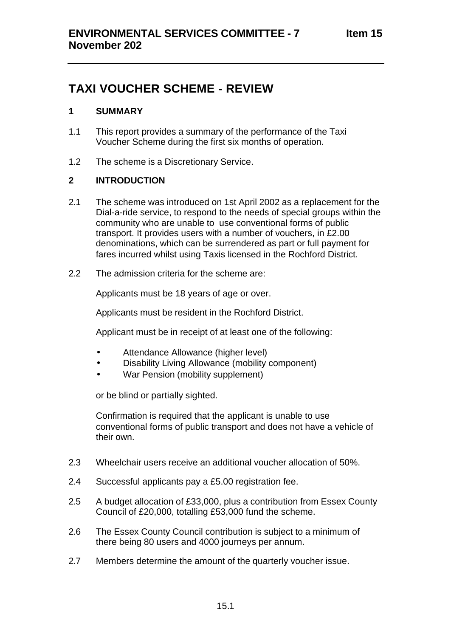# **TAXI VOUCHER SCHEME - REVIEW**

## **1 SUMMARY**

- 1.1 This report provides a summary of the performance of the Taxi Voucher Scheme during the first six months of operation.
- 1.2 The scheme is a Discretionary Service.

# **2 INTRODUCTION**

- 2.1 The scheme was introduced on 1st April 2002 as a replacement for the Dial-a-ride service, to respond to the needs of special groups within the community who are unable to use conventional forms of public transport. It provides users with a number of vouchers, in £2.00 denominations, which can be surrendered as part or full payment for fares incurred whilst using Taxis licensed in the Rochford District.
- 2.2 The admission criteria for the scheme are:

Applicants must be 18 years of age or over.

Applicants must be resident in the Rochford District.

Applicant must be in receipt of at least one of the following:

- Attendance Allowance (higher level)
- Disability Living Allowance (mobility component)
- War Pension (mobility supplement)

or be blind or partially sighted.

Confirmation is required that the applicant is unable to use conventional forms of public transport and does not have a vehicle of their own.

- 2.3 Wheelchair users receive an additional voucher allocation of 50%.
- 2.4 Successful applicants pay a £5.00 registration fee.
- 2.5 A budget allocation of £33,000, plus a contribution from Essex County Council of £20,000, totalling £53,000 fund the scheme.
- 2.6 The Essex County Council contribution is subject to a minimum of there being 80 users and 4000 journeys per annum.
- 2.7 Members determine the amount of the quarterly voucher issue.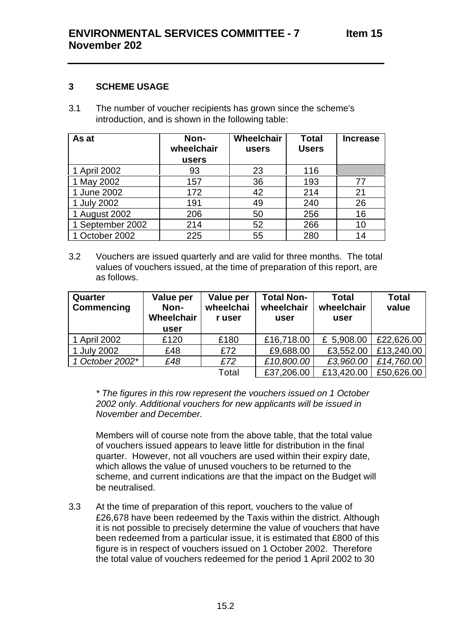## **3 SCHEME USAGE**

3.1 The number of voucher recipients has grown since the scheme's introduction, and is shown in the following table:

| As at            | Non-<br>wheelchair | Wheelchair<br>users | <b>Total</b><br><b>Users</b> | <b>Increase</b> |
|------------------|--------------------|---------------------|------------------------------|-----------------|
|                  | users              |                     |                              |                 |
| 1 April 2002     | 93                 | 23                  | 116                          |                 |
| 1 May 2002       | 157                | 36                  | 193                          | 77              |
| 1 June 2002      | 172                | 42                  | 214                          | 21              |
| 1 July 2002      | 191                | 49                  | 240                          | 26              |
| 1 August 2002    | 206                | 50                  | 256                          | 16              |
| 1 September 2002 | 214                | 52                  | 266                          | 10              |
| 1 October 2002   | 225                | 55                  | 280                          | 14              |

3.2 Vouchers are issued quarterly and are valid for three months. The total values of vouchers issued, at the time of preparation of this report, are as follows.

| Quarter<br><b>Commencing</b> | Value per<br>Non-<br>Wheelchair<br>user | Value per<br>wheelchai<br>r user | <b>Total Non-</b><br>wheelchair<br>user | <b>Total</b><br>wheelchair<br>user | <b>Total</b><br>value |
|------------------------------|-----------------------------------------|----------------------------------|-----------------------------------------|------------------------------------|-----------------------|
| 1 April 2002                 | £120                                    | £180                             | £16,718.00                              | £ 5,908.00                         | £22,626.00            |
| 1 July 2002                  | £48                                     | £72                              | £9,688.00                               | £3,552.00                          | £13,240.00            |
| 1 October 2002*              | £48                                     | £72                              | £10,800.00                              | £3,960.00                          | £14,760.00            |
|                              |                                         | Total                            | £37,206.00                              | £13,420.00                         | £50,626.00            |

*\* The figures in this row represent the vouchers issued on 1 October 2002 only. Additional vouchers for new applicants will be issued in November and December.*

Members will of course note from the above table, that the total value of vouchers issued appears to leave little for distribution in the final quarter. However, not all vouchers are used within their expiry date, which allows the value of unused vouchers to be returned to the scheme, and current indications are that the impact on the Budget will be neutralised.

3.3 At the time of preparation of this report, vouchers to the value of £26,678 have been redeemed by the Taxis within the district. Although it is not possible to precisely determine the value of vouchers that have been redeemed from a particular issue, it is estimated that £800 of this figure is in respect of vouchers issued on 1 October 2002. Therefore the total value of vouchers redeemed for the period 1 April 2002 to 30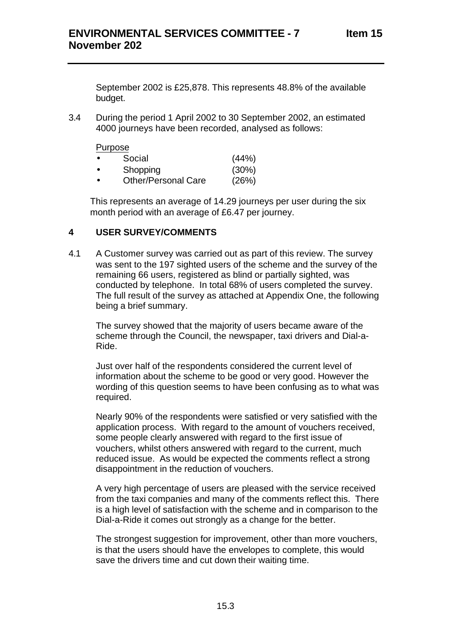September 2002 is £25,878. This represents 48.8% of the available budget.

3.4 During the period 1 April 2002 to 30 September 2002, an estimated 4000 journeys have been recorded, analysed as follows:

Purpose

| Social | (44%) |
|--------|-------|
|        |       |

- Shopping (30%)
- Other/Personal Care (26%)

This represents an average of 14.29 journeys per user during the six month period with an average of £6.47 per journey.

## **4 USER SURVEY/COMMENTS**

4.1 A Customer survey was carried out as part of this review. The survey was sent to the 197 sighted users of the scheme and the survey of the remaining 66 users, registered as blind or partially sighted, was conducted by telephone. In total 68% of users completed the survey. The full result of the survey as attached at Appendix One, the following being a brief summary.

The survey showed that the majority of users became aware of the scheme through the Council, the newspaper, taxi drivers and Dial-a-Ride.

Just over half of the respondents considered the current level of information about the scheme to be good or very good. However the wording of this question seems to have been confusing as to what was required.

Nearly 90% of the respondents were satisfied or very satisfied with the application process. With regard to the amount of vouchers received, some people clearly answered with regard to the first issue of vouchers, whilst others answered with regard to the current, much reduced issue. As would be expected the comments reflect a strong disappointment in the reduction of vouchers.

A very high percentage of users are pleased with the service received from the taxi companies and many of the comments reflect this. There is a high level of satisfaction with the scheme and in comparison to the Dial-a-Ride it comes out strongly as a change for the better.

The strongest suggestion for improvement, other than more vouchers, is that the users should have the envelopes to complete, this would save the drivers time and cut down their waiting time.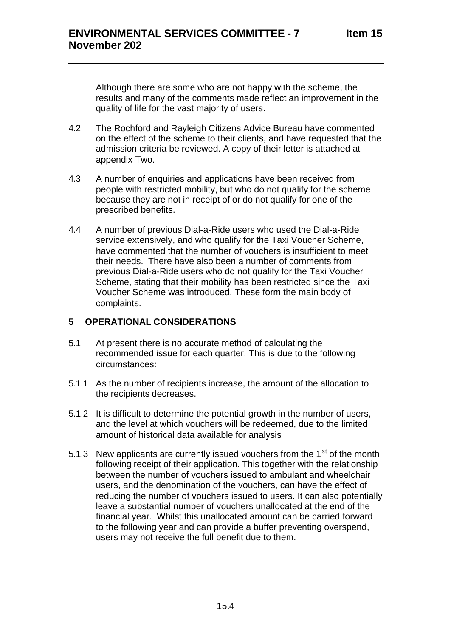Although there are some who are not happy with the scheme, the results and many of the comments made reflect an improvement in the quality of life for the vast majority of users.

- 4.2 The Rochford and Rayleigh Citizens Advice Bureau have commented on the effect of the scheme to their clients, and have requested that the admission criteria be reviewed. A copy of their letter is attached at appendix Two.
- 4.3 A number of enquiries and applications have been received from people with restricted mobility, but who do not qualify for the scheme because they are not in receipt of or do not qualify for one of the prescribed benefits.
- 4.4 A number of previous Dial-a-Ride users who used the Dial-a-Ride service extensively, and who qualify for the Taxi Voucher Scheme, have commented that the number of vouchers is insufficient to meet their needs. There have also been a number of comments from previous Dial-a-Ride users who do not qualify for the Taxi Voucher Scheme, stating that their mobility has been restricted since the Taxi Voucher Scheme was introduced. These form the main body of complaints.

# **5 OPERATIONAL CONSIDERATIONS**

- 5.1 At present there is no accurate method of calculating the recommended issue for each quarter. This is due to the following circumstances:
- 5.1.1 As the number of recipients increase, the amount of the allocation to the recipients decreases.
- 5.1.2 It is difficult to determine the potential growth in the number of users, and the level at which vouchers will be redeemed, due to the limited amount of historical data available for analysis
- 5.1.3 New applicants are currently issued vouchers from the  $1<sup>st</sup>$  of the month following receipt of their application. This together with the relationship between the number of vouchers issued to ambulant and wheelchair users, and the denomination of the vouchers, can have the effect of reducing the number of vouchers issued to users. It can also potentially leave a substantial number of vouchers unallocated at the end of the financial year. Whilst this unallocated amount can be carried forward to the following year and can provide a buffer preventing overspend, users may not receive the full benefit due to them.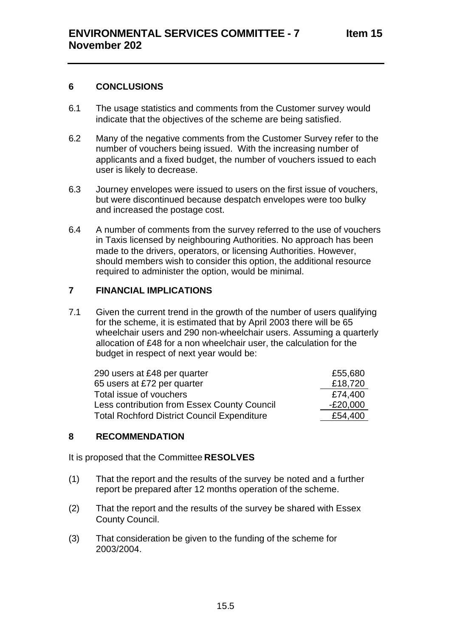#### **6 CONCLUSIONS**

- 6.1 The usage statistics and comments from the Customer survey would indicate that the objectives of the scheme are being satisfied.
- 6.2 Many of the negative comments from the Customer Survey refer to the number of vouchers being issued. With the increasing number of applicants and a fixed budget, the number of vouchers issued to each user is likely to decrease.
- 6.3 Journey envelopes were issued to users on the first issue of vouchers, but were discontinued because despatch envelopes were too bulky and increased the postage cost.
- 6.4 A number of comments from the survey referred to the use of vouchers in Taxis licensed by neighbouring Authorities. No approach has been made to the drivers, operators, or licensing Authorities. However, should members wish to consider this option, the additional resource required to administer the option, would be minimal.

#### **7 FINANCIAL IMPLICATIONS**

7.1 Given the current trend in the growth of the number of users qualifying for the scheme, it is estimated that by April 2003 there will be 65 wheelchair users and 290 non-wheelchair users. Assuming a quarterly allocation of £48 for a non wheelchair user, the calculation for the budget in respect of next year would be:

| 290 users at £48 per quarter                       | £55,680    |
|----------------------------------------------------|------------|
| 65 users at £72 per quarter                        | £18,720    |
| Total issue of vouchers                            | £74,400    |
| Less contribution from Essex County Council        | $-E20,000$ |
| <b>Total Rochford District Council Expenditure</b> | £54,400    |

#### **8 RECOMMENDATION**

It is proposed that the Committee **RESOLVES**

- (1) That the report and the results of the survey be noted and a further report be prepared after 12 months operation of the scheme.
- (2) That the report and the results of the survey be shared with Essex County Council.
- (3) That consideration be given to the funding of the scheme for 2003/2004.